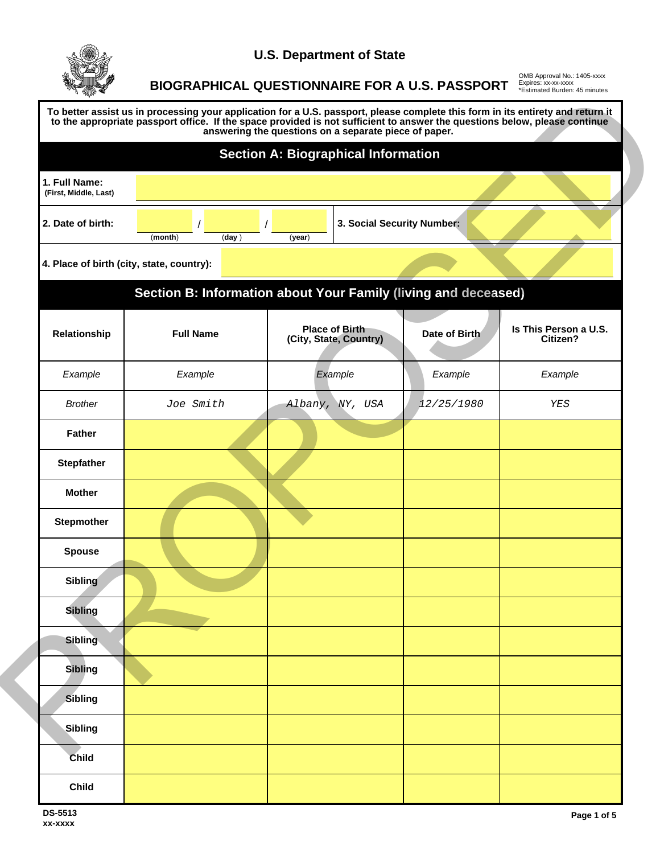

## **U.S. Department of State**

**BIOGRAPHICAL QUESTIONNAIRE FOR A U.S. PASSPORT**

OMB Approval No.: 1405-xxxx Expires: xx-xx-xxxx \*Estimated Burden: 45 minutes

|                                           |                                                          | <b>Section A: Biographical Information</b>      |                                                                |                                   |  |
|-------------------------------------------|----------------------------------------------------------|-------------------------------------------------|----------------------------------------------------------------|-----------------------------------|--|
| 1. Full Name:<br>(First, Middle, Last)    |                                                          |                                                 |                                                                |                                   |  |
| 2. Date of birth:                         | 3. Social Security Number:<br>(month)<br>(day)<br>(year) |                                                 |                                                                |                                   |  |
| 4. Place of birth (city, state, country): |                                                          |                                                 |                                                                |                                   |  |
|                                           |                                                          |                                                 | Section B: Information about Your Family (living and deceased) |                                   |  |
| Relationship                              | <b>Full Name</b>                                         | <b>Place of Birth</b><br>(City, State, Country) | Date of Birth                                                  | Is This Person a U.S.<br>Citizen? |  |
| Example                                   | Example                                                  | Example                                         | Example                                                        | Example                           |  |
| <b>Brother</b>                            | Joe Smith                                                | Albany, NY, USA                                 | 12/25/1980                                                     | YES                               |  |
| <b>Father</b>                             |                                                          |                                                 |                                                                |                                   |  |
| <b>Stepfather</b>                         |                                                          |                                                 |                                                                |                                   |  |
| <b>Mother</b>                             |                                                          |                                                 |                                                                |                                   |  |
| <b>Stepmother</b>                         |                                                          |                                                 |                                                                |                                   |  |
| <b>Spouse</b>                             |                                                          |                                                 |                                                                |                                   |  |
| Sibling                                   |                                                          |                                                 |                                                                |                                   |  |
| <b>Sibling</b>                            |                                                          |                                                 |                                                                |                                   |  |
| <b>Sibling</b>                            |                                                          |                                                 |                                                                |                                   |  |
| <b>Sibling</b>                            |                                                          |                                                 |                                                                |                                   |  |
| Sibling                                   |                                                          |                                                 |                                                                |                                   |  |
| <b>Sibling</b>                            |                                                          |                                                 |                                                                |                                   |  |
| Child                                     |                                                          |                                                 |                                                                |                                   |  |
| <b>Child</b>                              |                                                          |                                                 |                                                                |                                   |  |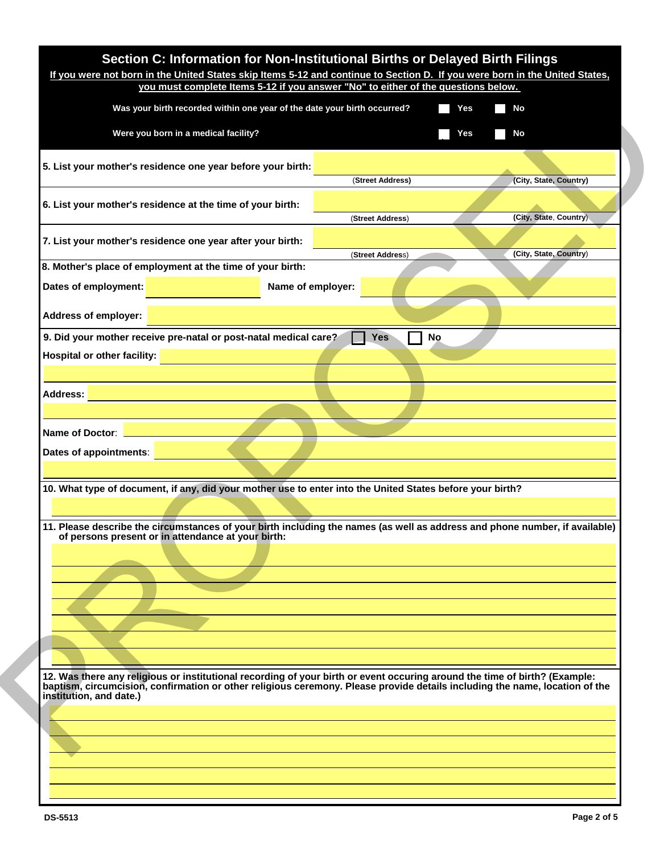|                                    | Was your birth recorded within one year of the date your birth occurred?                                                                                                                                                                                  |                  | Yes<br>$\sim 10$ | No                     |
|------------------------------------|-----------------------------------------------------------------------------------------------------------------------------------------------------------------------------------------------------------------------------------------------------------|------------------|------------------|------------------------|
|                                    | Were you born in a medical facility?                                                                                                                                                                                                                      |                  | Yes              | No                     |
|                                    | 5. List your mother's residence one year before your birth:                                                                                                                                                                                               |                  |                  |                        |
|                                    |                                                                                                                                                                                                                                                           | (Street Address) |                  | (City, State, Country) |
|                                    | 6. List your mother's residence at the time of your birth:                                                                                                                                                                                                | (Street Address) |                  | (City, State, Country) |
|                                    | 7. List your mother's residence one year after your birth:                                                                                                                                                                                                |                  |                  |                        |
|                                    | 8. Mother's place of employment at the time of your birth:                                                                                                                                                                                                | (Street Address) |                  | (City, State, Country) |
| Dates of employment:               | Name of employer:                                                                                                                                                                                                                                         |                  |                  |                        |
| <b>Address of employer:</b>        |                                                                                                                                                                                                                                                           |                  |                  |                        |
|                                    | 9. Did your mother receive pre-natal or post-natal medical care?                                                                                                                                                                                          | <b>Yes</b><br>No |                  |                        |
| <b>Hospital or other facility:</b> |                                                                                                                                                                                                                                                           |                  |                  |                        |
|                                    |                                                                                                                                                                                                                                                           |                  |                  |                        |
|                                    |                                                                                                                                                                                                                                                           |                  |                  |                        |
| <b>Address:</b>                    |                                                                                                                                                                                                                                                           |                  |                  |                        |
|                                    |                                                                                                                                                                                                                                                           |                  |                  |                        |
| Name of Doctor:                    |                                                                                                                                                                                                                                                           |                  |                  |                        |
| Dates of appointments:             |                                                                                                                                                                                                                                                           |                  |                  |                        |
|                                    |                                                                                                                                                                                                                                                           |                  |                  |                        |
|                                    | 10. What type of document, if any, did your mother use to enter into the United States before your birth?                                                                                                                                                 |                  |                  |                        |
|                                    |                                                                                                                                                                                                                                                           |                  |                  |                        |
|                                    | 11. Please describe the circumstances of your birth including the names (as well as address and phone number, if available)<br>of persons present or in attendance at your birth:                                                                         |                  |                  |                        |
|                                    |                                                                                                                                                                                                                                                           |                  |                  |                        |
|                                    |                                                                                                                                                                                                                                                           |                  |                  |                        |
|                                    |                                                                                                                                                                                                                                                           |                  |                  |                        |
|                                    |                                                                                                                                                                                                                                                           |                  |                  |                        |
|                                    |                                                                                                                                                                                                                                                           |                  |                  |                        |
| institution, and date.)            | 12. Was there any religious or institutional recording of your birth or event occuring around the time of birth? (Example:<br>baptism, circumcision, confirmation or other religious ceremony. Please provide details including the name, location of the |                  |                  |                        |
|                                    |                                                                                                                                                                                                                                                           |                  |                  |                        |
|                                    |                                                                                                                                                                                                                                                           |                  |                  |                        |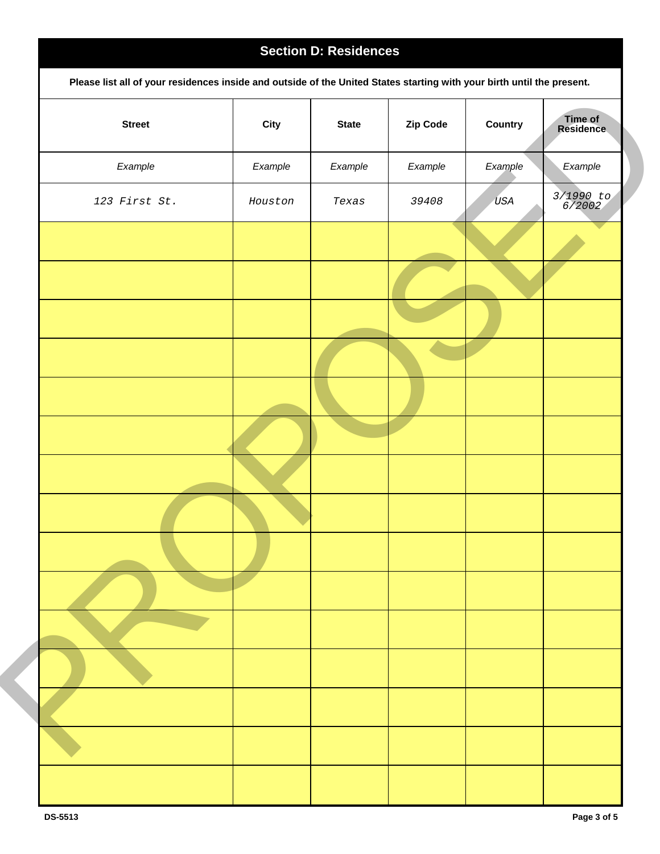## **Section D: Residences Please list all of your residences inside and outside of the United States starting with your birth until the present. Street City State Zip Code Country Time of Time of<br>Residence** *Example Example Example Example Example Example 123 First St. Houston Texas <sup>39408</sup> USA 3/1990 to 6/2002* Evrope Council (Deputy) State Council (Deputy) (Deputy) (Deputy) (Deputy) (Deputy) (Deputy) (Deputy) (Deputy) (Deputy) (Deputy) (Deputy) (Deputy) (Deputy) (Deputy) (Deputy) (Deputy) (Deputy) (Deputy) (Deputy) (Deputy) (Dep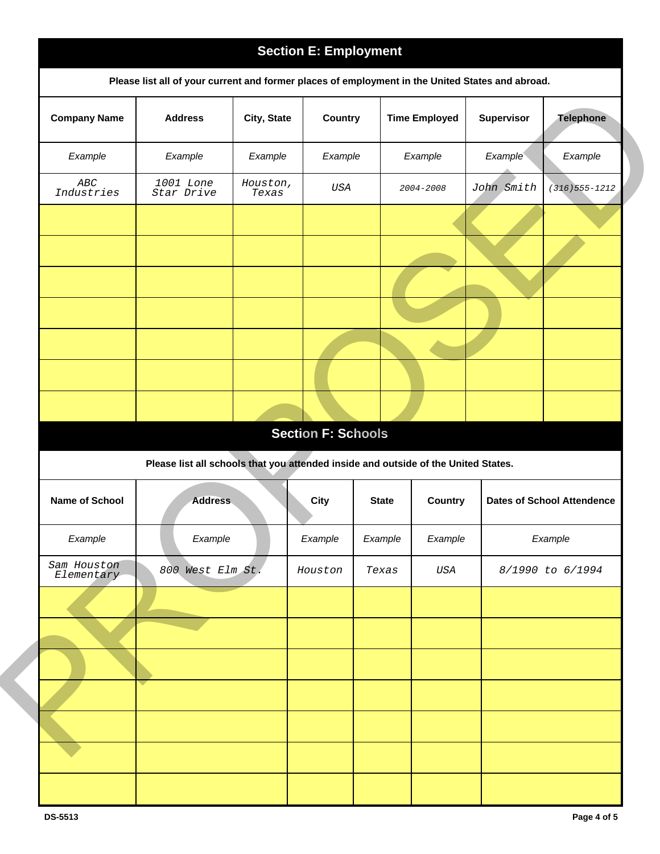|                                                            |                                                                                                  |                   | <b>Section E: Employment</b> |              |                      |            |                                   |
|------------------------------------------------------------|--------------------------------------------------------------------------------------------------|-------------------|------------------------------|--------------|----------------------|------------|-----------------------------------|
|                                                            | Please list all of your current and former places of employment in the United States and abroad. |                   |                              |              |                      |            |                                   |
| <b>Company Name</b>                                        | <b>Address</b>                                                                                   | City, State       | Country                      |              | <b>Time Employed</b> | Supervisor | <b>Telephone</b>                  |
| Example                                                    | Example                                                                                          | Example           | Example                      |              | Example              | Example    | Example                           |
| $\boldsymbol{A}\boldsymbol{B}\boldsymbol{C}$<br>Industries | 1001 Lone<br>Star Drive                                                                          | Houston,<br>Texas | USA                          |              | 2004-2008            | John Smith | $(316)555 - 1212$                 |
|                                                            |                                                                                                  |                   |                              |              |                      |            |                                   |
|                                                            |                                                                                                  |                   |                              |              |                      |            |                                   |
|                                                            |                                                                                                  |                   |                              |              |                      |            |                                   |
|                                                            |                                                                                                  |                   |                              |              |                      |            |                                   |
|                                                            |                                                                                                  |                   |                              |              |                      |            |                                   |
|                                                            |                                                                                                  |                   |                              |              |                      |            |                                   |
|                                                            |                                                                                                  |                   |                              |              |                      |            |                                   |
|                                                            |                                                                                                  |                   | <b>Section F: Schools</b>    |              |                      |            |                                   |
|                                                            | Please list all schools that you attended inside and outside of the United States.               |                   |                              |              |                      |            |                                   |
| Name of School                                             | <b>Address</b>                                                                                   |                   | <b>City</b>                  | <b>State</b> | <b>Country</b>       |            | <b>Dates of School Attendence</b> |
| Example                                                    | Example                                                                                          |                   | Example                      | Example      | Example              |            | Example                           |
| Sam Houston<br>Elementary                                  | 800 West Elm St.                                                                                 |                   | Houston                      | Texas        | $_{USA}$             |            | 8/1990 to 6/1994                  |
|                                                            |                                                                                                  |                   |                              |              |                      |            |                                   |
|                                                            |                                                                                                  |                   |                              |              |                      |            |                                   |
|                                                            |                                                                                                  |                   |                              |              |                      |            |                                   |
|                                                            |                                                                                                  |                   |                              |              |                      |            |                                   |
|                                                            |                                                                                                  |                   |                              |              |                      |            |                                   |
|                                                            |                                                                                                  |                   |                              |              |                      |            |                                   |
|                                                            |                                                                                                  |                   |                              |              |                      |            |                                   |